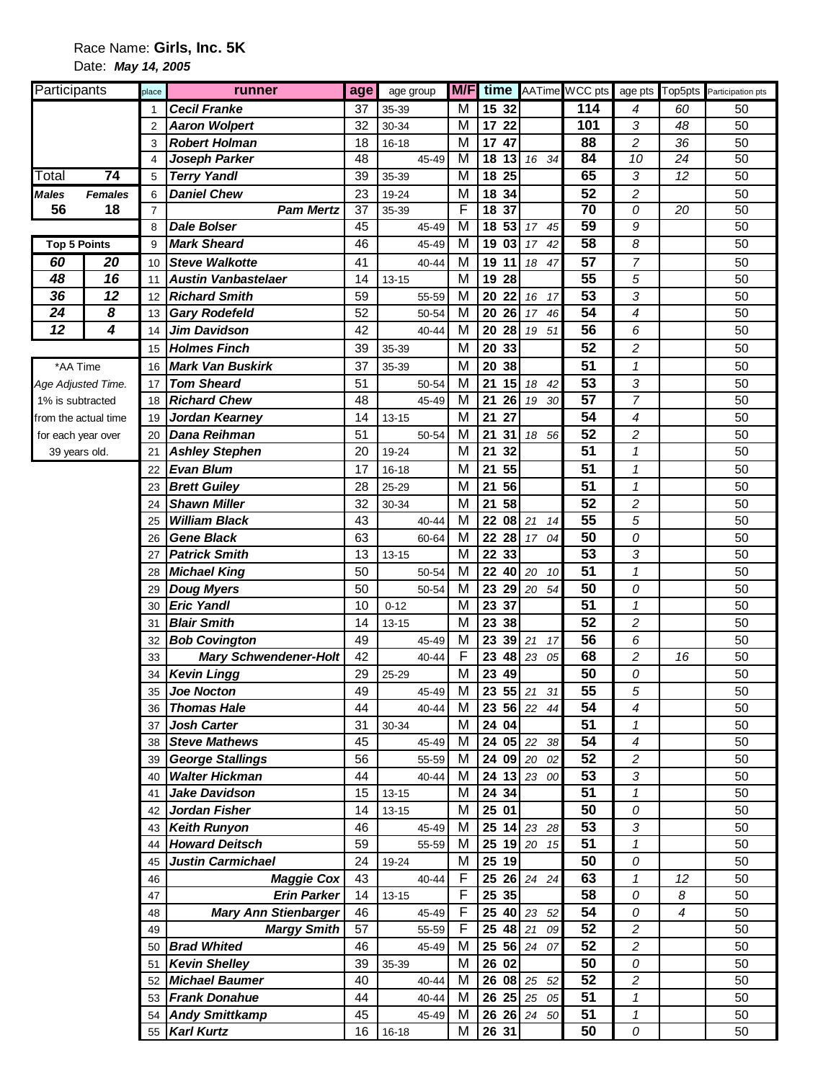## Race Name: **Girls, Inc. 5K**  Date: **May 14, 2005**

| Participants         |                | place          | runner                                            | age      | age group          | M/F    | time            |             | AATime WCC pts  |                            |        | age pts Top5pts Participation pts |
|----------------------|----------------|----------------|---------------------------------------------------|----------|--------------------|--------|-----------------|-------------|-----------------|----------------------------|--------|-----------------------------------|
|                      |                | 1              | <b>Cecil Franke</b>                               | 37       | 35-39              | М      | 15 32           |             | 114             | 4                          | 60     | 50                                |
|                      |                | $\overline{2}$ | <b>Aaron Wolpert</b>                              | 32       | 30-34              | м      | 17 22           |             | 101             | 3                          | 48     | 50                                |
|                      |                | 3              | <b>Robert Holman</b>                              | 18       | $16 - 18$          | М      | 17 47           |             | 88              | 2                          | 36     | 50                                |
|                      |                | $\overline{4}$ | Joseph Parker                                     | 48       | $45 - 49$          | М      | $18$ 13         | 16 34       | 84              | 10                         | 24     | 50                                |
| Total                | 74             | 5              | <b>Terry Yandl</b>                                | 39       | 35-39              | M      | 18 25           |             | 65              | 3                          | 12     | 50                                |
| Males                | <b>Females</b> | 6              | <b>Daniel Chew</b>                                | 23       | 19-24              | M      | 18 34           |             | 52              | $\overline{\mathbf{c}}$    |        | 50                                |
| 56                   | 18             | $\overline{7}$ | <b>Pam Mertz</b>                                  | 37       | 35-39              | F      | 18 37           |             | 70              | 0                          | 20     | 50                                |
|                      |                | 8              | <b>Dale Bolser</b>                                | 45       | 45-49              | M      | 18 53           | 17<br>45    | 59              | 9                          |        | 50                                |
| <b>Top 5 Points</b>  |                | 9              | <b>Mark Sheard</b>                                | 46       | 45-49              | M      | 19 03           | 17<br>42    | 58              | 8                          |        | 50                                |
| 60                   | 20             | 10             | <b>Steve Walkotte</b>                             | 41       | 40-44              | M      | 19 11           | 18<br>47    | 57              | $\overline{7}$             |        | 50                                |
| 48                   | 16             | 11             | <b>Austin Vanbastelaer</b>                        | 14       | $13 - 15$          | M      | 19 28           |             | 55              | 5                          |        | 50                                |
| 36                   | 12             | 12             | <b>Richard Smith</b>                              | 59       | 55-59              | M      | 20 22           | 16<br>17    | 53              | 3                          |        | 50                                |
| 24                   | 8              | 13             | <b>Gary Rodefeld</b>                              | 52       | 50-54              | М      | 20 26           | 17<br>46    | $\overline{54}$ | 4                          |        | 50                                |
| $\overline{12}$      | 4              | 14             | Jim Davidson                                      | 42       | 40-44              | М      | 20<br><b>28</b> | 19<br>51    | $\overline{56}$ | 6                          |        | 50                                |
|                      |                | 15             | <b>Holmes Finch</b>                               | 39       | 35-39              | M      | 20 33           |             | 52              | $\overline{c}$             |        | 50                                |
| *AA Time             |                | 16             | <b>Mark Van Buskirk</b>                           | 37       | 35-39              | M      | 20 38           |             | $\overline{51}$ | 1                          |        | 50                                |
| Age Adjusted Time.   |                | 17             | <b>Tom Sheard</b>                                 | 51       | 50-54              | M      | 21<br>15        | 18<br>42    | 53              | 3                          |        | 50                                |
| 1% is subtracted     |                | 18             | <b>Richard Chew</b>                               | 48       | 45-49              | M      | 21<br>26        | 30<br>19    | $\overline{57}$ | $\overline{7}$             |        | 50                                |
| from the actual time |                | 19             | Jordan Kearney                                    | 14       | $13 - 15$          | М      | 21<br>27        |             | 54              | 4                          |        | 50                                |
| for each year over   |                | 20             | Dana Reihman                                      | 51       | 50-54              | M      | 21<br>31        | 18 56       | 52              | $\overline{c}$             |        | 50                                |
| 39 years old.        |                | 21             | <b>Ashley Stephen</b>                             | 20       | 19-24              | M      | 21<br>32        |             | $\overline{51}$ | $\pmb{\mathcal{1}}$        |        | 50                                |
|                      |                | 22             | <b>Evan Blum</b>                                  | 17       | $16 - 18$          | М      | 21 55           |             | 51              | 1                          |        | 50                                |
|                      |                | 23             | <b>Brett Guiley</b>                               | 28       | 25-29              | м      | 21<br>56        |             | 51              | 1                          |        | 50                                |
|                      |                | 24             | <b>Shawn Miller</b>                               | 32       | 30-34              | M      | 21<br>58        |             | 52              | $\overline{c}$             |        | 50                                |
|                      |                | 25             | <b>William Black</b>                              | 43       | 40-44              | M      | 22 08 21        | 14          | 55              | 5                          |        | 50                                |
|                      |                | 26             | <b>Gene Black</b>                                 | 63       | 60-64              | M      |                 | 22 28 17 04 | 50              | 0                          |        | 50                                |
|                      |                | 27             | <b>Patrick Smith</b>                              | 13       | $13 - 15$          | M      | 22 33           |             | 53              | 3                          |        | 50                                |
|                      |                | 28             | <b>Michael King</b>                               | 50       | 50-54              | М      | 22 40           | 20<br>10    | 51              | $\mathbf 1$                |        | 50                                |
|                      |                | 29             | <b>Doug Myers</b>                                 | 50       | 50-54              | М      | 23 29           | 20<br>54    | 50              | 0                          |        | 50                                |
|                      |                | 30             | <b>Eric Yandl</b>                                 | 10       | $0 - 12$           | M      | 23 37           |             | 51              | $\mathbf{1}$               |        | 50                                |
|                      |                | 31             | <b>Blair Smith</b>                                | 14       | $13 - 15$          | M      | 23 38           |             | 52              | $\overline{c}$             |        | 50                                |
|                      |                | 32             | <b>Bob Covington</b>                              | 49       | 45-49              | M      | 23 39 21        | 17          | $\overline{56}$ | 6                          |        | 50                                |
|                      |                | 33             | <b>Mary Schwendener-Holt</b>                      | 42       | 40-44              | F      | 23 48 23        | 05          | 68              | $\overline{\mathbf{c}}$    | 16     | 50                                |
|                      |                | 34             | <b>Kevin Lingg</b>                                | 29       | 25-29              | M      | 23 49           |             | 50              | 0                          |        | 50                                |
|                      |                | 35             | <b>Joe Nocton</b>                                 | 49       | 45-49              | M      |                 | 23 55 21 31 | $\overline{55}$ | 5                          |        | 50                                |
|                      |                | 36             | <b>Thomas Hale</b>                                | 44       | 40-44              | м      |                 | 23 56 22 44 | 54              | 4                          |        | 50                                |
|                      |                | 37             | <b>Josh Carter</b>                                | 31       | 30-34              | M      | 24 04           |             | 51              | $\mathcal I$               |        | 50                                |
|                      |                | 38             | <b>Steve Mathews</b>                              | 45       | 45-49              | M      |                 | 24 05 22 38 | 54              | 4                          |        | 50                                |
|                      |                |                | 39 George Stallings                               | 56       | 55-59              | M      |                 | 24 09 20 02 | 52              | $\overline{\mathbf{c}}$    |        | 50                                |
|                      |                | 40             | <b>Walter Hickman</b>                             | 44       | 40-44              | M      |                 | 24 13 23 00 | 53              | 3                          |        | 50                                |
|                      |                | 41             | Jake Davidson                                     | 15       | $13 - 15$          | М      | 24 34           |             | 51              | $\mathbf{1}$               |        | 50                                |
|                      |                | 42             | Jordan Fisher                                     | 14       | $13 - 15$          | М      | 25 01           |             | 50              | 0                          |        | 50                                |
|                      |                |                | 43 Keith Runyon                                   | 46       | 45-49              | M      |                 | 25 14 23 28 | 53              | 3                          |        | 50                                |
|                      |                | 44             | <b>Howard Deitsch</b>                             | 59       | 55-59              | M      |                 | 25 19 20 15 | 51              | 1                          |        | 50                                |
|                      |                | 45             | Justin Carmichael                                 | 24       | 19-24              | М      | 25 19           |             | 50              | 0                          |        | 50                                |
|                      |                | 46             | <b>Maggie Cox</b>                                 | 43<br>14 | 40-44              | F<br>F | 25 35           | 25 26 24 24 | 63<br>58        | 1                          | 12     | 50<br>50                          |
|                      |                | 47<br>48       | <b>Erin Parker</b>                                | 46       | $13 - 15$<br>45-49 | F      | 25 40 23        | 52          | 54              | 0<br>0                     | 8<br>4 | 50                                |
|                      |                |                | <b>Mary Ann Stienbarger</b><br><b>Margy Smith</b> | 57       |                    | F      | $25 \t48 \t21$  | 09          | 52              | $\overline{c}$             |        | 50                                |
|                      |                | 49<br>50       | <b>Brad Whited</b>                                | 46       | 55-59              | M      |                 | 25 56 24 07 | 52              |                            |        | 50                                |
|                      |                | 51             | <b>Kevin Shelley</b>                              | 39       | 45-49<br>35-39     | M      | 26 02           |             | 50              | 2<br>0                     |        | 50                                |
|                      |                |                | 52 Michael Baumer                                 | 40       | 40-44              | M      |                 | 26 08 25 52 | 52              | 2                          |        | 50                                |
|                      |                |                | 53 Frank Donahue                                  | 44       | 40-44              | М      |                 | 26 25 25 05 | 51              | $\mathbf{1}$               |        | 50                                |
|                      |                |                | 54 Andy Smittkamp                                 | 45       | 45-49              | м      |                 | 26 26 24 50 | 51              | $\boldsymbol{\mathcal{I}}$ |        | 50                                |
|                      |                | 55             | <b>Karl Kurtz</b>                                 | 16       | $16 - 18$          | М      | 26 31           |             | 50              | 0                          |        | 50                                |
|                      |                |                |                                                   |          |                    |        |                 |             |                 |                            |        |                                   |